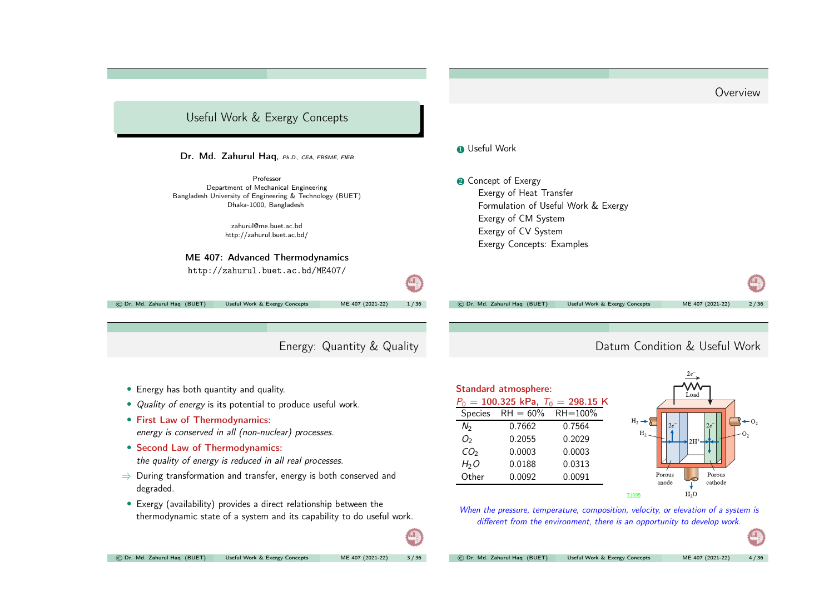<span id="page-0-0"></span>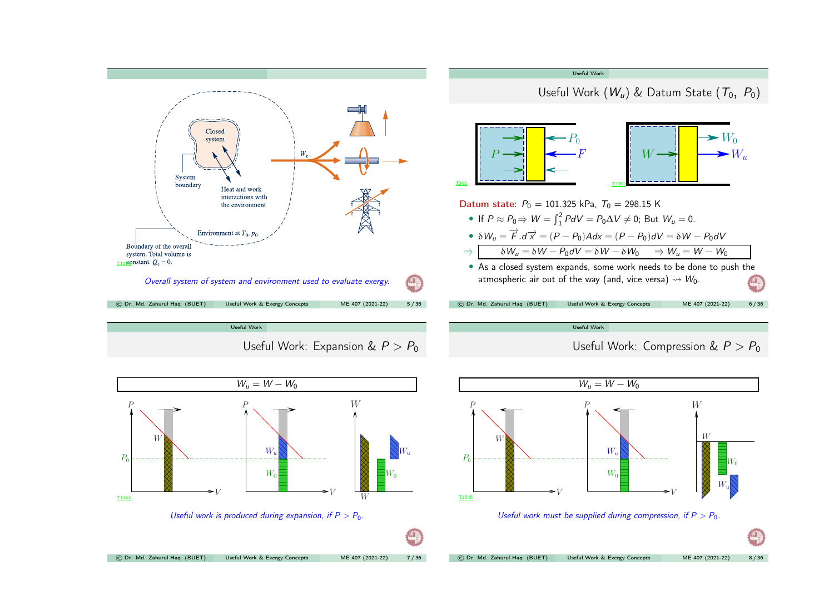<span id="page-1-0"></span>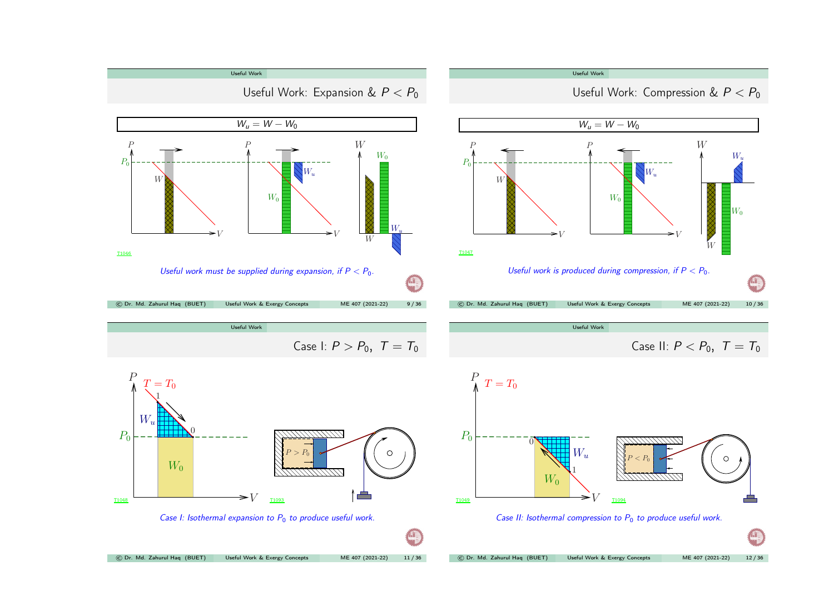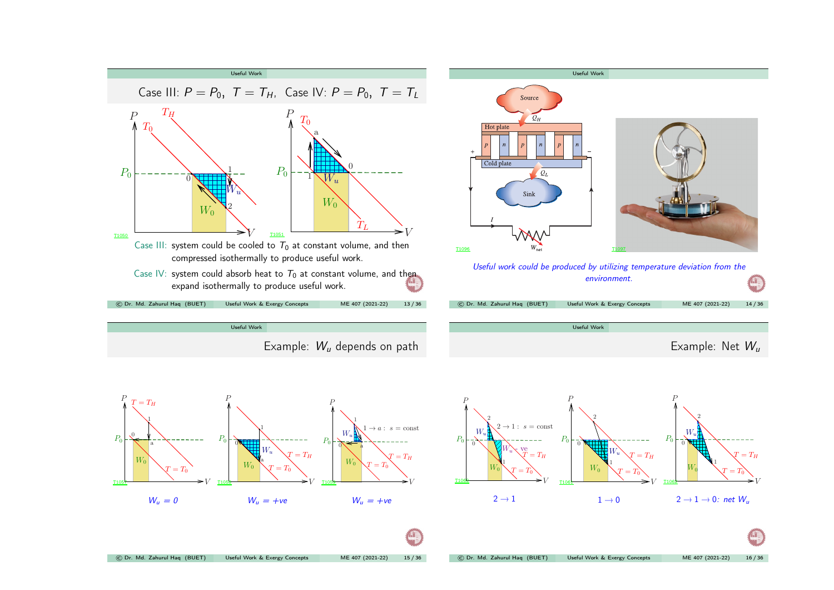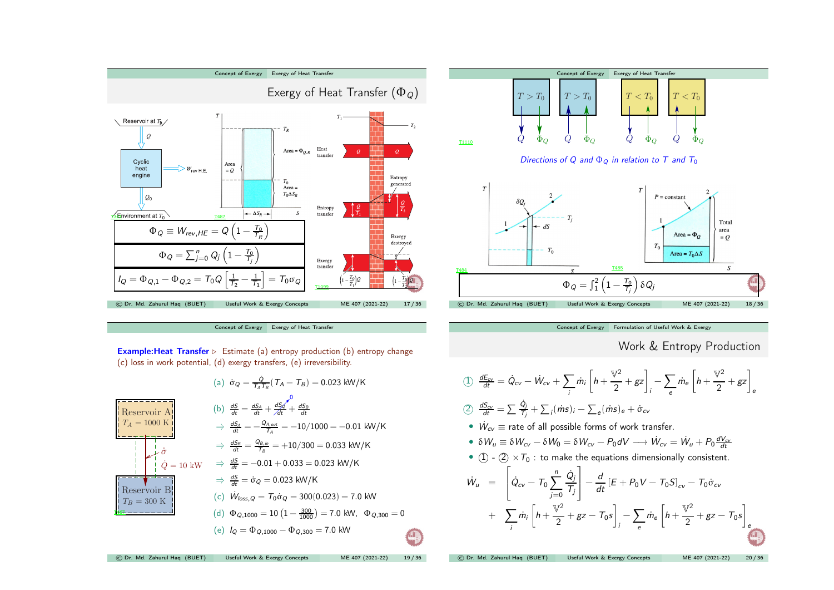





[Concept](#page-4-0) of Exergy [Formulation](#page-4-0) of Useful Work & Exergy

```
Work & Entropy Production
```
<span id="page-4-0"></span>
$$
\begin{aligned}\n\text{(1)} \quad & \frac{dE_{cv}}{dt} = \dot{Q}_{cv} - \dot{W}_{cv} + \sum_{i} \dot{m}_{i} \left[ h + \frac{\mathbb{V}^{2}}{2} + gz \right]_{i} - \sum_{e} \dot{m}_{e} \left[ h + \frac{\mathbb{V}^{2}}{2} + gz \right]_{e} \\
\text{(2)} \quad & \frac{dS_{cv}}{dt} = \sum_{i} \frac{\dot{Q}_{i}}{T_{i}} + \sum_{i} (\dot{m}s)_{i} - \sum_{e} (\dot{m}s)_{e} + \dot{\sigma}_{cv} \\
\text{\textbullet} \quad & \dot{W}_{cv} \equiv \text{rate of all possible forms of work transfer.} \\
\text{\textbullet} \quad & \delta W_{u} \equiv \delta W_{cv} - \delta W_{0} = \delta W_{cv} - P_{0} dV \longrightarrow \dot{W}_{cv} = \dot{W}_{u} + P_{0} \frac{dV_{cv}}{dt} \\
\text{\textbullet} \quad & \text{(1)} - \text{(2)} \times T_{0}: \text{ to make the equations dimensionally consistent.} \\
\dot{W}_{u} = \left[ \dot{Q}_{cv} - T_{0} \sum_{j=0}^{n} \frac{\dot{Q}_{j}}{T_{j}} \right] - \frac{d}{dt} \left[ E + P_{0} V - T_{0} S \right]_{cv} - T_{0} \dot{\sigma}_{cv} \\
\text{\textbullet} \quad & + \sum_{i} \dot{m}_{i} \left[ h + \frac{\mathbb{V}^{2}}{2} + gz - T_{0} s \right]_{i} - \sum_{e} \dot{m}_{e} \left[ h + \frac{\mathbb{V}^{2}}{2} + gz - T_{0} s \right]_{e} \\
\text{\textbullet or, Md. Zahurul Haq (BUET)} \qquad \text{Useful Work & Every Concepts} \qquad \text{ME 407 (2021-22)} \qquad \text{20/36}\n\end{aligned}
$$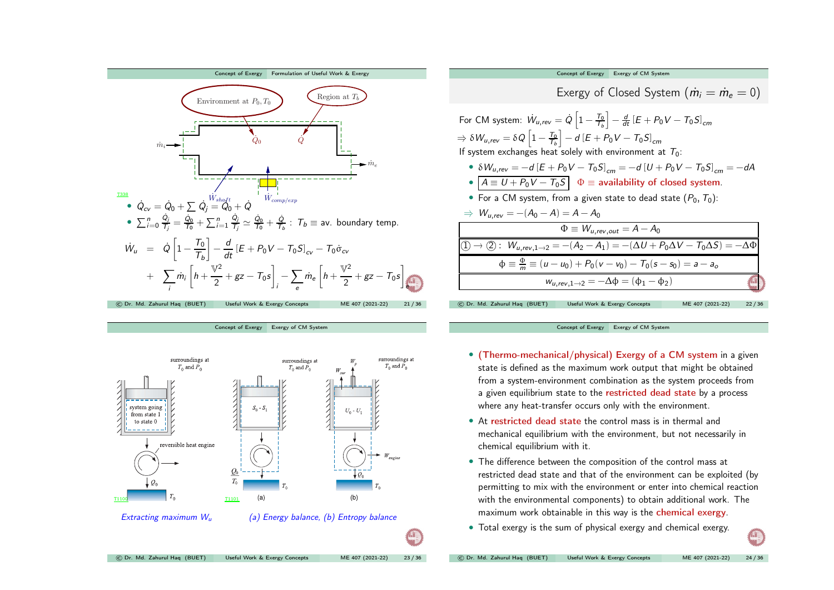





[Concept](#page-4-0) of Exergy Exergy of CM [System](#page-5-0)

- (Thermo-mechanical/physical) Exergy of <sup>a</sup> CM system in <sup>a</sup> <sup>g</sup>iven state is defined as the maximum work output that might be obtained from <sup>a</sup> system-environment combination as the system proceeds from a given equilibrium state to the restricted dead state by a process where any heat-transfer occurs only with the environment.
- At restricted dead state the control mass is in thermal and mechanical equilibrium with the environment, but not necessarily in chemical equilibrium with it.
- The difference between the composition of the control mass at restricted dead state and that of the environment can be exploited (by permitting to mix with the environment or enter into chemical reaction with the environmental components) to obtain additional work. The maximum work obtainable in this way is the chemical exergy.
- <span id="page-5-0"></span>• Total exergy is the sum of physical exergy and chemical exergy.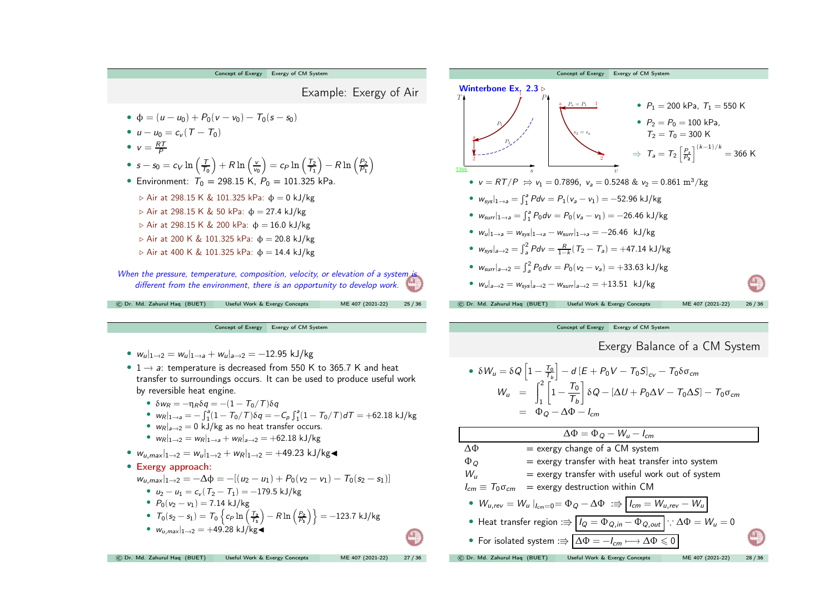

[Concept](#page-4-0) of Exergy Exergy of CM [System](#page-5-0)

•  $w_{u}|_{1\rightarrow 2} = w_{u}|_{1\rightarrow 3} + w_{u}|_{2\rightarrow 2} = -12.95$  kJ/kg

- $1 \rightarrow a$ : temperature is decreased from 550 K to 365.7 K and heat transfer to surroundings occurs. It can be used to produce useful work by reversible heat engine.
	- $\delta w_R = -\eta_R \delta q = -(1 T_0/T) \delta q$
	- $w_R|_{1\to a} = -\int_1^a (1 T_0/T)\delta q = -C_p \int_1^a (1 T_0/T) dT = +62.18 \text{ kJ/kg}$
	- $w_R|_{a\to 2} = 0$  kJ/kg as no heat transfer occurs.
	- $w_R|_{1\to 2} = w_R|_{1\to a} + w_R|_{a\to 2} = +62.18 \text{ kJ/kg}$
- $w_{u,max}|_{1\rightarrow 2} = w_u|_{1\rightarrow 2} + w_R|_{1\rightarrow 2} = +49.23 \text{ kJ/kg}$

## • Exergy approach:

- $w_{u,max}|_{1\rightarrow 2} = -\Delta\phi = -[(u_2 u_1) + P_0(v_2 v_1) T_0(s_2 s_1)]$ 
	- $u_2 u_1 = c_v (T_2 T_1) = -179.5$  kJ/kg
	- $P_0(v_2 v_1) = 7.14 \text{ kJ/kg}$
	- $T_0(v_2 v_1) = T_0 \left\{ c_P \ln \left( \frac{T_2}{T_1} \right) R \ln \left( \frac{P_2}{P_1} \right) \right\} = -123.7 \text{ kJ/kg}$

© Dr. Md. Zahurul Haq (BUET) Useful Work & Exergy [Concepts](#page-0-0) ME <sup>407</sup> (2021-22) <sup>27</sup> / <sup>36</sup>

• 
$$
w_{u,max}|_{1\rightarrow 2} = +49.28 \text{ kJ/kg}
$$

[Concept](#page-4-0) of Exergy Exergy of CM [System](#page-5-0) Winterbone Ex. 2.3 ⊳  $T$  **P** s v  $v$  $P_1$  $_{P_2}$  $P_a = P_1$  1 2 and  $\overline{2}$  $s_2 = s_a$ T344 •  $P_1 = 200$  kPa,  $T_1 = 550$  K •  $P_2 = P_0 = 100 \text{ kPa}$ ,  $T_2 = T_0 = 300 \text{ K}$ ⇒  $T_a = T_2 \left[\frac{P_a}{P_2}\right]^{(k-1)/k} = 366$  K •  $v = RT/P \implies v_1 = 0.7896$ ,  $v_2 = 0.5248$  &  $v_2 = 0.861$  m<sup>3</sup>/kg •  $w_{\text{sys}}|_{1\to a} = \int_{1}^{a} Pdv = P_1(v_a - v_1) = -52.96 \text{ kJ/kg}$ •  $w_{surr}|_{1\to a} = \int_{1}^{a} P_0 dv = P_0(v_a - v_1) = -26.46 \text{ kJ/kg}$ •  $w_u|_{1\to a} = w_{svs}|_{1\to a} - w_{surr}|_{1\to a} = -26.46$  kJ/kg •  $w_{\text{sys}}|_{a\to 2} = \int_a^2 P dv = \frac{R}{1-k} (T_2 - T_a) = +47.14 \text{ kJ/kg}$ •  $w_{surr}|_{a\to 2} = \int_{a}^{2} P_0 dv = P_0(v_2 - v_3) = +33.63 \text{ kJ/kg}$ •  $w_{u}|_{a\rightarrow2} = w_{\text{sys}}|_{a\rightarrow2} - w_{\text{surf}}|_{a\rightarrow2} = +13.51 \text{ kJ/kg}$ © Dr. Md. Zahurul Haq (BUET) Useful Work & Exergy [Concepts](#page-0-0) ME <sup>407</sup> (2021-22) <sup>26</sup> / <sup>36</sup>

[Concept](#page-4-0) of Exergy Exergy of CM [System](#page-5-0)

Exergy Balance of <sup>a</sup> CM System

• 
$$
\delta W_u = \delta Q \left[ 1 - \frac{T_0}{T_b} \right] - d \left[ E + P_0 V - T_0 S \right]_{cv} - T_0 \delta \sigma_{cm}
$$
  
\n
$$
W_u = \int_1^2 \left[ 1 - \frac{T_0}{T_b} \right] \delta Q - [\Delta U + P_0 \Delta V - T_0 \Delta S] - T_0 \sigma_{cm}
$$
\n
$$
= \Phi_Q - \Delta \Phi - I_{cm}
$$

| $\Delta \Phi = \Phi_{Q} - W_{u} - I_{cm}$                                                                      |       |
|----------------------------------------------------------------------------------------------------------------|-------|
| $=$ exergy change of a CM system<br>ΛФ                                                                         |       |
| $=$ exergy transfer with heat transfer into system<br>$\Phi_{Q}$                                               |       |
| = exergy transfer with useful work out of system<br>W.,                                                        |       |
| $I_{cm} \equiv T_0 \sigma_{cm}$ = exergy destruction within CM                                                 |       |
| • $W_{u,rev} = W_u\left _{l_{cm}=0} = \Phi_Q - \Delta \Phi \right  := \left  I_{cm} = W_{u,rev} - W_u \right $ |       |
| • Heat transfer region $:\Rrightarrow   I_Q = \Phi_{Q,in} - \Phi_{Q,out}  $ : $\Delta \Phi = W_u = 0$          |       |
| • For isolated system $\Rightarrow  \Delta \Phi = -I_{cm} \longmapsto \Delta \Phi \leq 0 $                     |       |
| (C) Dr. Md. Zahurul Hag (BUET)<br>Useful Work & Exergy Concepts<br>ME 407 (2021-22)                            | 28/36 |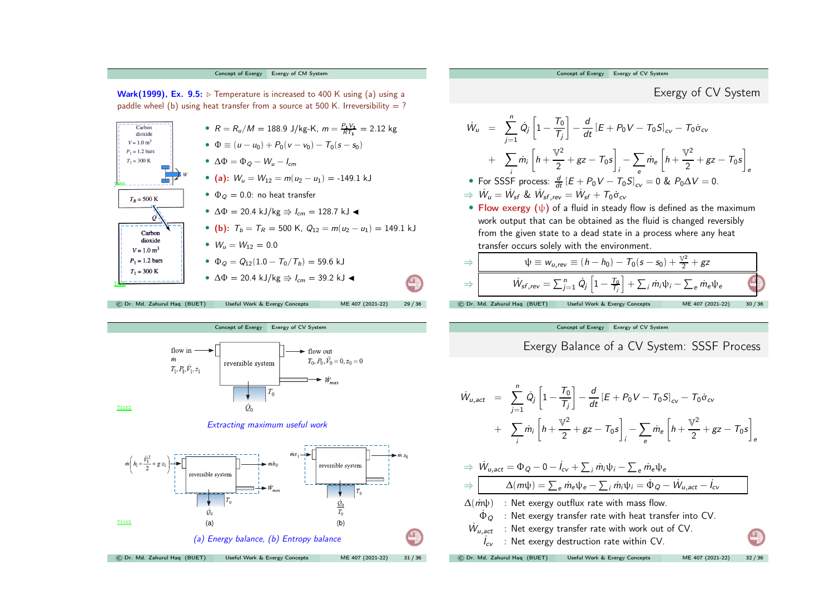



$$
W_u = \sum_{j=1}^{n} \dot{Q}_j \left[ 1 - \frac{T_0}{T_j} \right] - \frac{d}{dt} \left[ E + P_0 V - T_0 S \right]_{CV} - T_0 \dot{\sigma}_{CV}
$$
\n
$$
+ \sum_{i} \dot{m}_i \left[ h + \frac{V^2}{2} + gz - T_0 s \right]_{i} - \sum_{e} \dot{m}_e \left[ h + \frac{V^2}{2} + gz - T_0 s \right]_{e}
$$
\n• For SSSF process:  $\frac{d}{dt} \left[ E + P_0 V - T_0 S \right]_{CV} = 0$  &  $P_0 \Delta V = 0$ .  
\n⇒  $\dot{W}_u = \dot{W}_{sf}$  &  $\dot{W}_{sf}$ ,  $rev = \dot{W}_{sf} + T_0 \dot{\sigma}_{CV}$   
\n• Flow exergy (ψ) of a fluid in steady flow is defined as the maximum work output that can be obtained as the fluid is changed reversibly from the given state to a dead state in a process where any heat transfer occurs solely with the environment.  
\n⇒  $\frac{\psi \equiv w_{u,rev} \equiv (h - h_0) - T_0 (s - s_0) + \frac{V^2}{2} + gz}{\psi_{sf}$ ,  $rev = \sum_{j=1}^{n} \dot{Q}_j \left[ 1 - \frac{T_0}{T_j} \right] + \sum_{i} \dot{m}_i \psi_i - \sum_{e} \dot{m}_e \psi_e}$   
\n© Dr. Md. Zahural Haq (BUET) Useful Work & Exergy Concepts, ME 407 (2021-22) 30/36

[Concept](#page-4-0) of Exergy Exergy of CV [System](#page-7-0)

Exergy Balance of <sup>a</sup> CV System: SSSF Process

$$
\dot{W}_{u,act} = \sum_{j=1}^{n} \dot{Q}_{j} \left[ 1 - \frac{T_{0}}{T_{j}} \right] - \frac{d}{dt} \left[ E + P_{0} V - T_{0} S \right]_{cv} - T_{0} \dot{\sigma}_{cv} \n+ \sum_{i} \dot{m}_{i} \left[ h + \frac{\mathbb{V}^{2}}{2} + gz - T_{0} s \right]_{i} - \sum_{e} \dot{m}_{e} \left[ h + \frac{\mathbb{V}^{2}}{2} + gz - T_{0} s \right]_{e}
$$

$$
\Rightarrow \dot{W}_{u,act} = \Phi_Q - 0 - \dot{I}_{cv} + \sum_i \dot{m}_i \psi_i - \sum_e \dot{m}_e \psi_e
$$
\n
$$
\Rightarrow \qquad \Delta(m\psi) = \sum_e \dot{m}_e \psi_e - \sum_i \dot{m}_i \psi_i = \dot{\Phi}_Q - \dot{W}_{u,act} - \dot{I}_{cv}
$$
\n
$$
\Delta(\dot{m}\psi) \qquad : \text{Net exergy outflux rate with mass flow.}
$$
\n
$$
\dot{\Phi}_Q \qquad : \text{Net exergy transfer rate with heat transfer into CV.}
$$
\n
$$
\dot{W}_{u,act} \qquad : \text{Net exergy transfer rate with work out of CV.}
$$

<span id="page-7-0"></span> $\dot{I}_{\rm cv}$   $\;$  : Net exergy destruction rate within CV.

© Dr. Md. Zahurul Haq (BUET) Useful Work & Exergy [Concepts](#page-0-0) ME <sup>407</sup> (2021-22) <sup>32</sup> / <sup>36</sup>